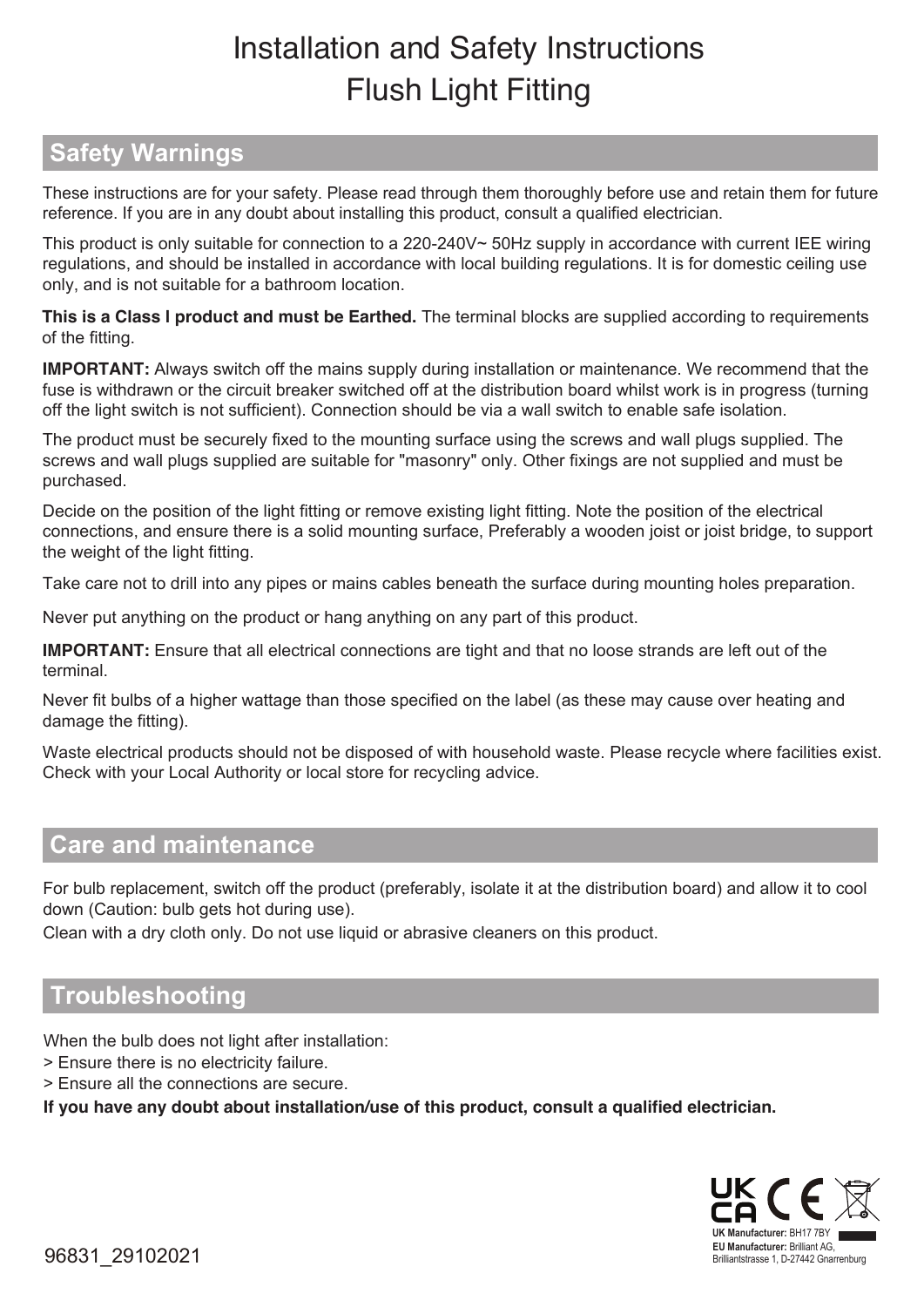# Installation and Safety Instructions Flush Light Fitting

## **Safety Warnings**

 These instructions are for your safety. Please read through them thoroughly before use and retain them for future reference. If you are in any doubt about installing this product, consult a qualified electrician.

This product is only suitable for connection to a 220-240V~ 50Hz supply in accordance with current IEE wiring regulations, and should be installed in accordance with local building regulations. It is for domestic ceiling use only, and is not suitable for a bathroom location.

**This is a Class l product and must be Earthed.** The terminal blocks are supplied according to requirements of the fitting.

**IMPORTANT:** Always switch off the mains supply during installation or maintenance. We recommend that the fuse is withdrawn or the circuit breaker switched off at the distribution board whilst work is in progress (turning off the light switch is not sufficient). Connection should be via a wall switch to enable safe isolation.

The product must be securely fixed to the mounting surface using the screws and wall plugs supplied. The screws and wall plugs supplied are suitable for "masonry" only. Other fixings are not supplied and must be purchased.

Decide on the position of the light fitting or remove existing light fitting. Note the position of the electrical connections, and ensure there is a solid mounting surface, Preferably a wooden joist or joist bridge, to support the weight of the light fitting.

Take care not to drill into any pipes or mains cables beneath the surface during mounting holes preparation.

Never put anything on the product or hang anything on any part of this product.

**IMPORTANT:** Ensure that all electrical connections are tight and that no loose strands are left out of the terminal.

Never fit bulbs of a higher wattage than those specified on the label (as these may cause over heating and damage the fitting).

Waste electrical products should not be disposed of with household waste. Please recycle where facilities exist. Check with your Local Authority or local store for recycling advice.

#### **Care and maintenance**

For bulb replacement, switch off the product (preferably, isolate it at the distribution board) and allow it to cool down (Caution: bulb gets hot during use).

Clean with a dry cloth only. Do not use liquid or abrasive cleaners on this product.

### **Troubleshooting**

When the bulb does not light after installation:

- > Ensure there is no electricity failure.
- > Ensure all the connections are secure.

**If you have any doubt about installation/use of this product, consult a qualified electrician.**